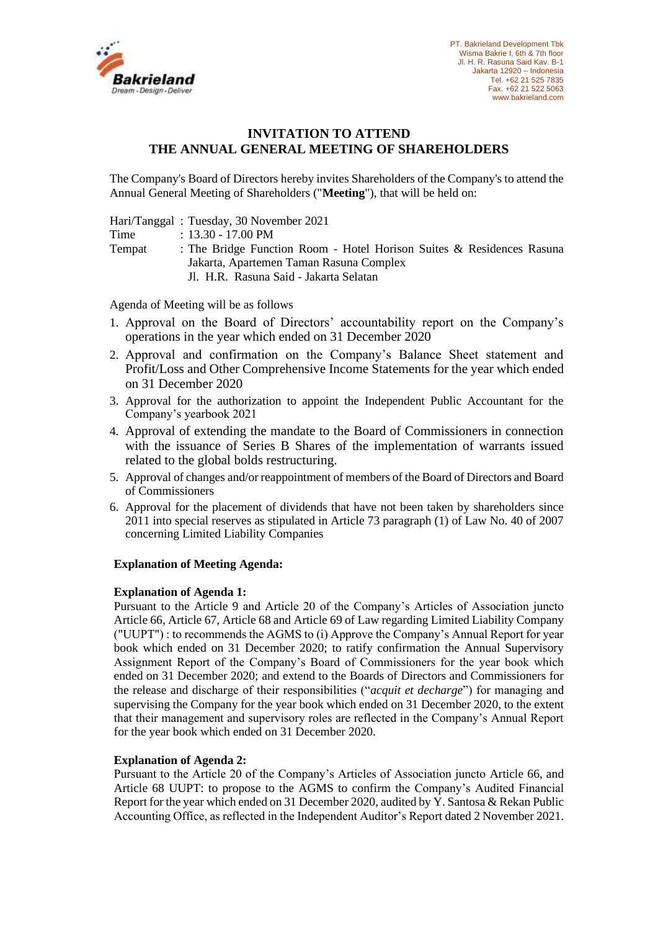

## **INVITATION TO ATTEND THE ANNUAL GENERAL MEETING OF SHAREHOLDERS**

The Company's Board of Directors hereby invites Shareholders of the Company's to attend the Annual General Meeting of Shareholders ("**Meeting**"), that will be held on:

Hari/Tanggal : Tuesday, 30 November 2021

Time : 13.30 - 17.00 PM

Tempat : The Bridge Function Room - Hotel Horison Suites & Residences Rasuna Jakarta, Apartemen Taman Rasuna Complex Jl. H.R. Rasuna Said - Jakarta Selatan

Agenda of Meeting will be as follows

- 1. Approval on the Board of Directors' accountability report on the Company's operations in the year which ended on 31 December 2020
- 2. Approval and confirmation on the Company's Balance Sheet statement and Profit/Loss and Other Comprehensive Income Statements for the year which ended on 31 December 2020
- 3. Approval for the authorization to appoint the Independent Public Accountant for the Company's yearbook 2021
- 4. Approval of extending the mandate to the Board of Commissioners in connection with the issuance of Series B Shares of the implementation of warrants issued related to the global bolds restructuring.
- 5. Approval of changes and/or reappointment of members of the Board of Directors and Board of Commissioners
- 6. Approval for the placement of dividends that have not been taken by shareholders since 2011 into special reserves as stipulated in Article 73 paragraph (1) of Law No. 40 of 2007 concerning Limited Liability Companies

# **Explanation of Meeting Agenda:**

### **Explanation of Agenda 1:**

Pursuant to the Article 9 and Article 20 of the Company's Articles of Association juncto Article 66, Article 67, Article 68 and Article 69 of Law regarding Limited Liability Company ("UUPT") : to recommends the AGMS to (i) Approve the Company's Annual Report for year book which ended on 31 December 2020; to ratify confirmation the Annual Supervisory Assignment Report of the Company's Board of Commissioners for the year book which ended on 31 December 2020; and extend to the Boards of Directors and Commissioners for the release and discharge of their responsibilities ("*acquit et decharge*") for managing and supervising the Company for the year book which ended on 31 December 2020, to the extent that their management and supervisory roles are reflected in the Company's Annual Report for the year book which ended on 31 December 2020.

### **Explanation of Agenda 2:**

Pursuant to the Article 20 of the Company's Articles of Association juncto Article 66, and Article 68 UUPT: to propose to the AGMS to confirm the Company's Audited Financial Report for the year which ended on 31 December 2020, audited by Y. Santosa & Rekan Public Accounting Office, as reflected in the Independent Auditor's Report dated 2 November 2021.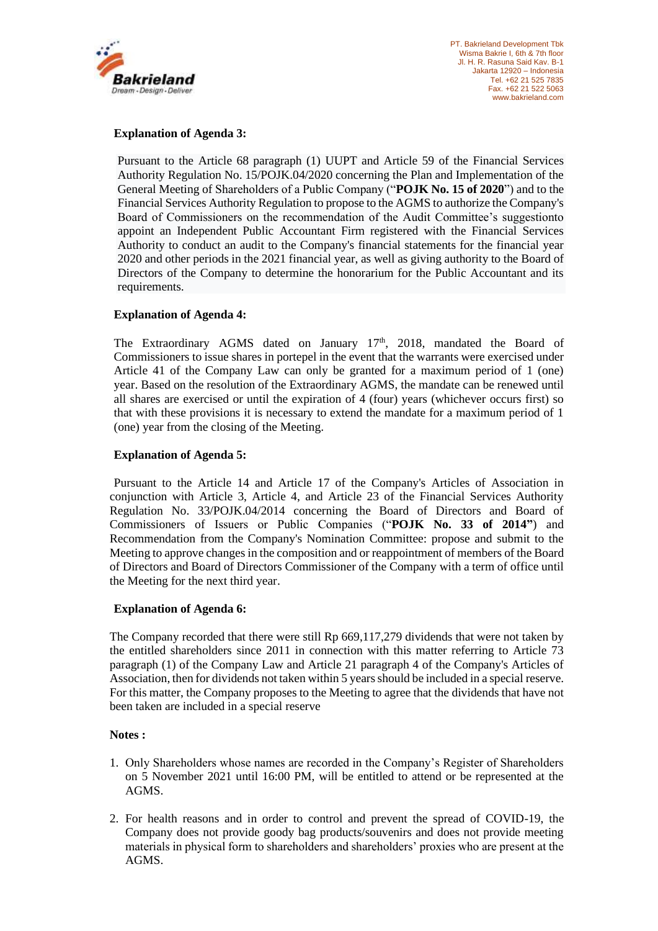

## **Explanation of Agenda 3:**

Pursuant to the Article 68 paragraph (1) UUPT and Article 59 of the Financial Services Authority Regulation No. 15/POJK.04/2020 concerning the Plan and Implementation of the General Meeting of Shareholders of a Public Company ("**POJK No. 15 of 2020**") and to the Financial Services Authority Regulation to propose to the AGMS to authorize the Company's Board of Commissioners on the recommendation of the Audit Committee's suggestionto appoint an Independent Public Accountant Firm registered with the Financial Services Authority to conduct an audit to the Company's financial statements for the financial year 2020 and other periods in the 2021 financial year, as well as giving authority to the Board of Directors of the Company to determine the honorarium for the Public Accountant and its requirements.

### **Explanation of Agenda 4:**

The Extraordinary AGMS dated on January 17<sup>th</sup>, 2018, mandated the Board of Commissioners to issue shares in portepel in the event that the warrants were exercised under Article 41 of the Company Law can only be granted for a maximum period of 1 (one) year. Based on the resolution of the Extraordinary AGMS, the mandate can be renewed until all shares are exercised or until the expiration of 4 (four) years (whichever occurs first) so that with these provisions it is necessary to extend the mandate for a maximum period of 1 (one) year from the closing of the Meeting.

## **Explanation of Agenda 5:**

Pursuant to the Article 14 and Article 17 of the Company's Articles of Association in conjunction with Article 3, Article 4, and Article 23 of the Financial Services Authority Regulation No. 33/POJK.04/2014 concerning the Board of Directors and Board of Commissioners of Issuers or Public Companies ("**POJK No. 33 of 2014"**) and Recommendation from the Company's Nomination Committee: propose and submit to the Meeting to approve changes in the composition and or reappointment of members of the Board of Directors and Board of Directors Commissioner of the Company with a term of office until the Meeting for the next third year.

### **Explanation of Agenda 6:**

The Company recorded that there were still Rp 669,117,279 dividends that were not taken by the entitled shareholders since 2011 in connection with this matter referring to Article 73 paragraph (1) of the Company Law and Article 21 paragraph 4 of the Company's Articles of Association, then for dividends not taken within 5 years should be included in a special reserve. For this matter, the Company proposes to the Meeting to agree that the dividends that have not been taken are included in a special reserve

### **Notes :**

- 1. Only Shareholders whose names are recorded in the Company's Register of Shareholders on 5 November 2021 until 16:00 PM, will be entitled to attend or be represented at the AGMS.
- 2. For health reasons and in order to control and prevent the spread of COVID-19, the Company does not provide goody bag products/souvenirs and does not provide meeting materials in physical form to shareholders and shareholders' proxies who are present at the AGMS.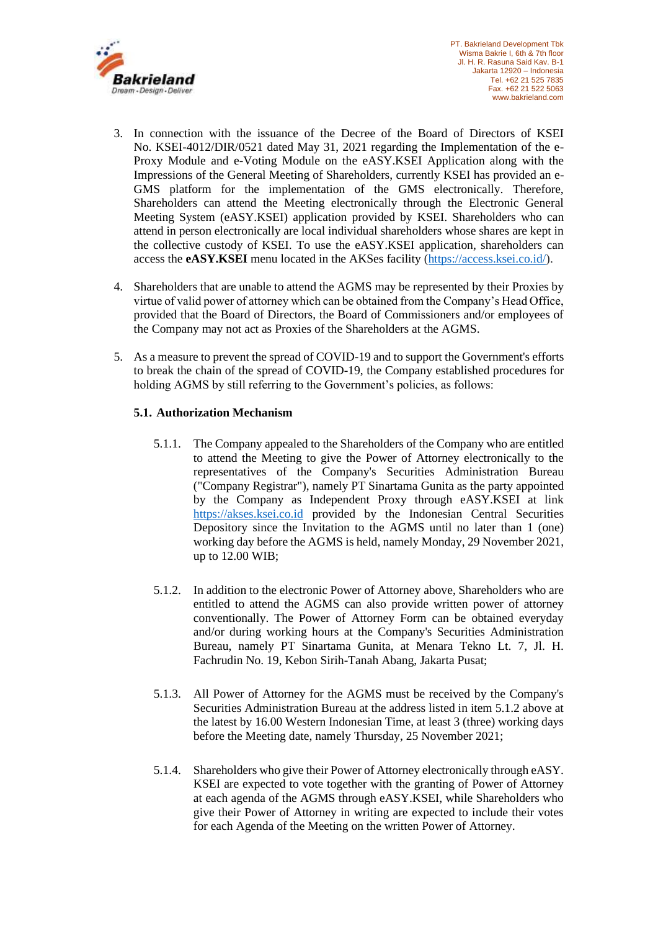

- 3. In connection with the issuance of the Decree of the Board of Directors of KSEI No. KSEI-4012/DIR/0521 dated May 31, 2021 regarding the Implementation of the e-Proxy Module and e-Voting Module on the eASY.KSEI Application along with the Impressions of the General Meeting of Shareholders, currently KSEI has provided an e-GMS platform for the implementation of the GMS electronically. Therefore, Shareholders can attend the Meeting electronically through the Electronic General Meeting System (eASY.KSEI) application provided by KSEI. Shareholders who can attend in person electronically are local individual shareholders whose shares are kept in the collective custody of KSEI. To use the eASY.KSEI application, shareholders can access the **eASY.KSEI** menu located in the AKSes facility [\(https://access.ksei.co.id/\)](https://access.ksei.co.id/).
- 4. Shareholders that are unable to attend the AGMS may be represented by their Proxies by virtue of valid power of attorney which can be obtained from the Company's Head Office, provided that the Board of Directors, the Board of Commissioners and/or employees of the Company may not act as Proxies of the Shareholders at the AGMS.
- 5. As a measure to prevent the spread of COVID-19 and to support the Government's efforts to break the chain of the spread of COVID-19, the Company established procedures for holding AGMS by still referring to the Government's policies, as follows:

## **5.1. Authorization Mechanism**

- 5.1.1. The Company appealed to the Shareholders of the Company who are entitled to attend the Meeting to give the Power of Attorney electronically to the representatives of the Company's Securities Administration Bureau ("Company Registrar"), namely PT Sinartama Gunita as the party appointed by the Company as Independent Proxy through eASY.KSEI at link [https://akses.ksei.co.id](https://akses.ksei.co.id/) provided by the Indonesian Central Securities Depository since the Invitation to the AGMS until no later than 1 (one) working day before the AGMS is held, namely Monday, 29 November 2021, up to 12.00 WIB;
- 5.1.2. In addition to the electronic Power of Attorney above, Shareholders who are entitled to attend the AGMS can also provide written power of attorney conventionally. The Power of Attorney Form can be obtained everyday and/or during working hours at the Company's Securities Administration Bureau, namely PT Sinartama Gunita, at Menara Tekno Lt. 7, Jl. H. Fachrudin No. 19, Kebon Sirih-Tanah Abang, Jakarta Pusat;
- 5.1.3. All Power of Attorney for the AGMS must be received by the Company's Securities Administration Bureau at the address listed in item 5.1.2 above at the latest by 16.00 Western Indonesian Time, at least 3 (three) working days before the Meeting date, namely Thursday, 25 November 2021;
- 5.1.4. Shareholders who give their Power of Attorney electronically through eASY. KSEI are expected to vote together with the granting of Power of Attorney at each agenda of the AGMS through eASY.KSEI, while Shareholders who give their Power of Attorney in writing are expected to include their votes for each Agenda of the Meeting on the written Power of Attorney.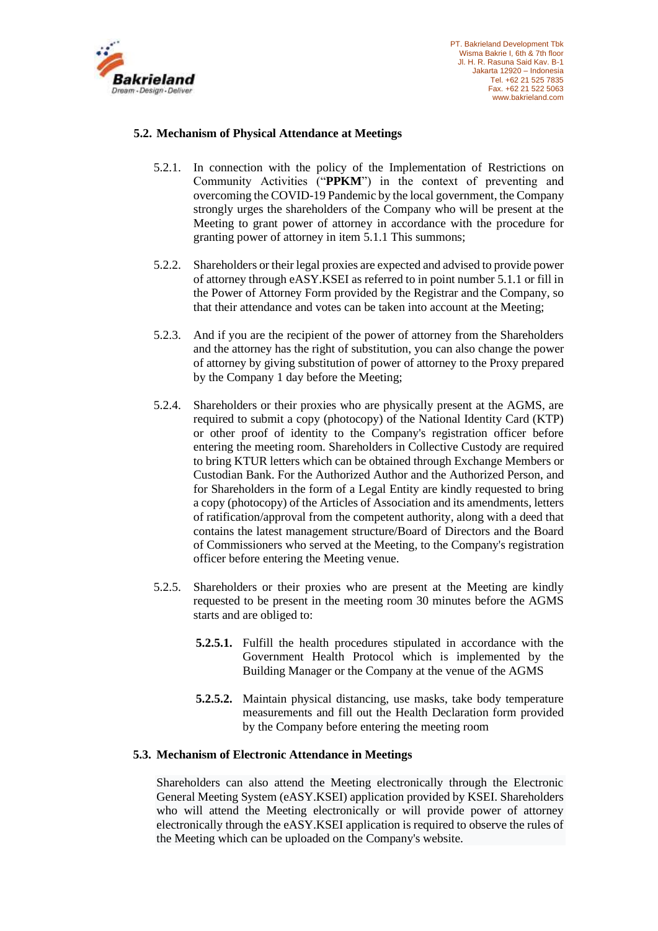

## **5.2. Mechanism of Physical Attendance at Meetings**

- 5.2.1. In connection with the policy of the Implementation of Restrictions on Community Activities ("**PPKM**") in the context of preventing and overcoming the COVID-19 Pandemic by the local government, the Company strongly urges the shareholders of the Company who will be present at the Meeting to grant power of attorney in accordance with the procedure for granting power of attorney in item 5.1.1 This summons;
- 5.2.2. Shareholders or their legal proxies are expected and advised to provide power of attorney through eASY.KSEI as referred to in point number 5.1.1 or fill in the Power of Attorney Form provided by the Registrar and the Company, so that their attendance and votes can be taken into account at the Meeting;
- 5.2.3. And if you are the recipient of the power of attorney from the Shareholders and the attorney has the right of substitution, you can also change the power of attorney by giving substitution of power of attorney to the Proxy prepared by the Company 1 day before the Meeting;
- 5.2.4. Shareholders or their proxies who are physically present at the AGMS, are required to submit a copy (photocopy) of the National Identity Card (KTP) or other proof of identity to the Company's registration officer before entering the meeting room. Shareholders in Collective Custody are required to bring KTUR letters which can be obtained through Exchange Members or Custodian Bank. For the Authorized Author and the Authorized Person, and for Shareholders in the form of a Legal Entity are kindly requested to bring a copy (photocopy) of the Articles of Association and its amendments, letters of ratification/approval from the competent authority, along with a deed that contains the latest management structure/Board of Directors and the Board of Commissioners who served at the Meeting, to the Company's registration officer before entering the Meeting venue.
- 5.2.5. Shareholders or their proxies who are present at the Meeting are kindly requested to be present in the meeting room 30 minutes before the AGMS starts and are obliged to:
	- **5.2.5.1.** Fulfill the health procedures stipulated in accordance with the Government Health Protocol which is implemented by the Building Manager or the Company at the venue of the AGMS
	- **5.2.5.2.** Maintain physical distancing, use masks, take body temperature measurements and fill out the Health Declaration form provided by the Company before entering the meeting room

### **5.3. Mechanism of Electronic Attendance in Meetings**

Shareholders can also attend the Meeting electronically through the Electronic General Meeting System (eASY.KSEI) application provided by KSEI. Shareholders who will attend the Meeting electronically or will provide power of attorney electronically through the eASY.KSEI application is required to observe the rules of the Meeting which can be uploaded on the Company's website.